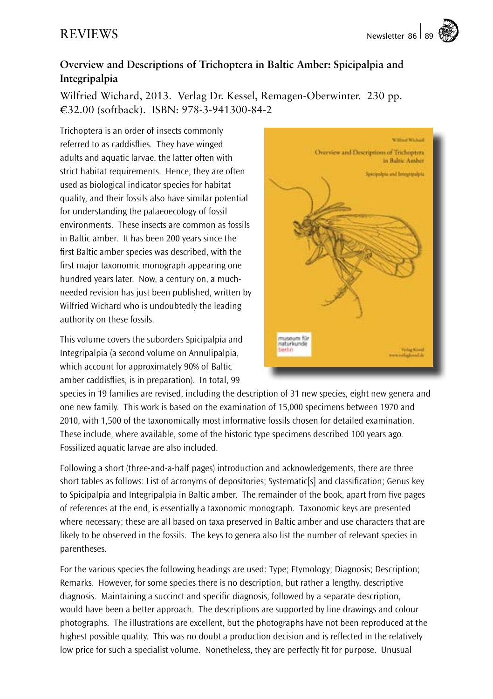## **Overview and Descriptions of Trichoptera in Baltic Amber: Spicipalpia and Integripalpia**

Wilfried Wichard, 2013. Verlag Dr. Kessel, Remagen-Oberwinter. 230 pp. €32.00 (softback). ISBN: 978-3-941300-84-2

Trichoptera is an order of insects commonly referred to as caddisflies. They have winged adults and aquatic larvae, the latter often with strict habitat requirements. Hence, they are often used as biological indicator species for habitat quality, and their fossils also have similar potential for understanding the palaeoecology of fossil environments. These insects are common as fossils in Baltic amber. It has been 200 years since the first Baltic amber species was described, with the first major taxonomic monograph appearing one hundred years later. Now, a century on, a muchneeded revision has just been published, written by Wilfried Wichard who is undoubtedly the leading authority on these fossils.

This volume covers the suborders Spicipalpia and Integripalpia (a second volume on Annulipalpia, which account for approximately 90% of Baltic amber caddisflies, is in preparation). In total, 99



species in 19 families are revised, including the description of 31 new species, eight new genera and one new family. This work is based on the examination of 15,000 specimens between 1970 and 2010, with 1,500 of the taxonomically most informative fossils chosen for detailed examination. These include, where available, some of the historic type specimens described 100 years ago. Fossilized aquatic larvae are also included.

Following a short (three-and-a-half pages) introduction and acknowledgements, there are three short tables as follows: List of acronyms of depositories; Systematic[s] and classification; Genus key to Spicipalpia and Integripalpia in Baltic amber. The remainder of the book, apart from five pages of references at the end, is essentially a taxonomic monograph. Taxonomic keys are presented where necessary; these are all based on taxa preserved in Baltic amber and use characters that are likely to be observed in the fossils. The keys to genera also list the number of relevant species in parentheses.

For the various species the following headings are used: Type; Etymology; Diagnosis; Description; Remarks. However, for some species there is no description, but rather a lengthy, descriptive diagnosis. Maintaining a succinct and specific diagnosis, followed by a separate description, would have been a better approach. The descriptions are supported by line drawings and colour photographs. The illustrations are excellent, but the photographs have not been reproduced at the highest possible quality. This was no doubt a production decision and is reflected in the relatively low price for such a specialist volume. Nonetheless, they are perfectly fit for purpose. Unusual